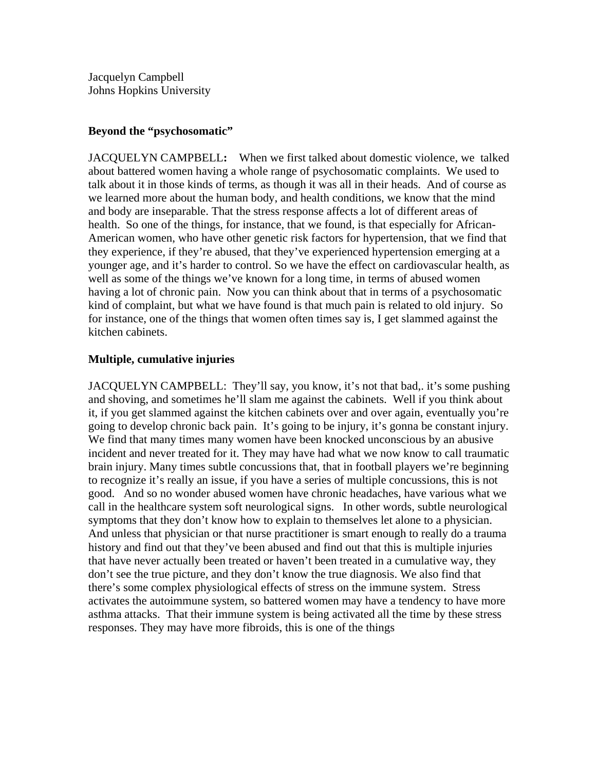Jacquelyn Campbell Johns Hopkins University

## **Beyond the "psychosomatic"**

JACQUELYN CAMPBELL**:** When we first talked about domestic violence, we talked about battered women having a whole range of psychosomatic complaints. We used to talk about it in those kinds of terms, as though it was all in their heads. And of course as we learned more about the human body, and health conditions, we know that the mind and body are inseparable. That the stress response affects a lot of different areas of health. So one of the things, for instance, that we found, is that especially for African-American women, who have other genetic risk factors for hypertension, that we find that they experience, if they're abused, that they've experienced hypertension emerging at a younger age, and it's harder to control. So we have the effect on cardiovascular health, as well as some of the things we've known for a long time, in terms of abused women having a lot of chronic pain. Now you can think about that in terms of a psychosomatic kind of complaint, but what we have found is that much pain is related to old injury. So for instance, one of the things that women often times say is, I get slammed against the kitchen cabinets.

## **Multiple, cumulative injuries**

JACQUELYN CAMPBELL: They'll say, you know, it's not that bad,. it's some pushing and shoving, and sometimes he'll slam me against the cabinets. Well if you think about it, if you get slammed against the kitchen cabinets over and over again, eventually you're going to develop chronic back pain. It's going to be injury, it's gonna be constant injury. We find that many times many women have been knocked unconscious by an abusive incident and never treated for it. They may have had what we now know to call traumatic brain injury. Many times subtle concussions that, that in football players we're beginning to recognize it's really an issue, if you have a series of multiple concussions, this is not good. And so no wonder abused women have chronic headaches, have various what we call in the healthcare system soft neurological signs. In other words, subtle neurological symptoms that they don't know how to explain to themselves let alone to a physician. And unless that physician or that nurse practitioner is smart enough to really do a trauma history and find out that they've been abused and find out that this is multiple injuries that have never actually been treated or haven't been treated in a cumulative way, they don't see the true picture, and they don't know the true diagnosis. We also find that there's some complex physiological effects of stress on the immune system. Stress activates the autoimmune system, so battered women may have a tendency to have more asthma attacks. That their immune system is being activated all the time by these stress responses. They may have more fibroids, this is one of the things